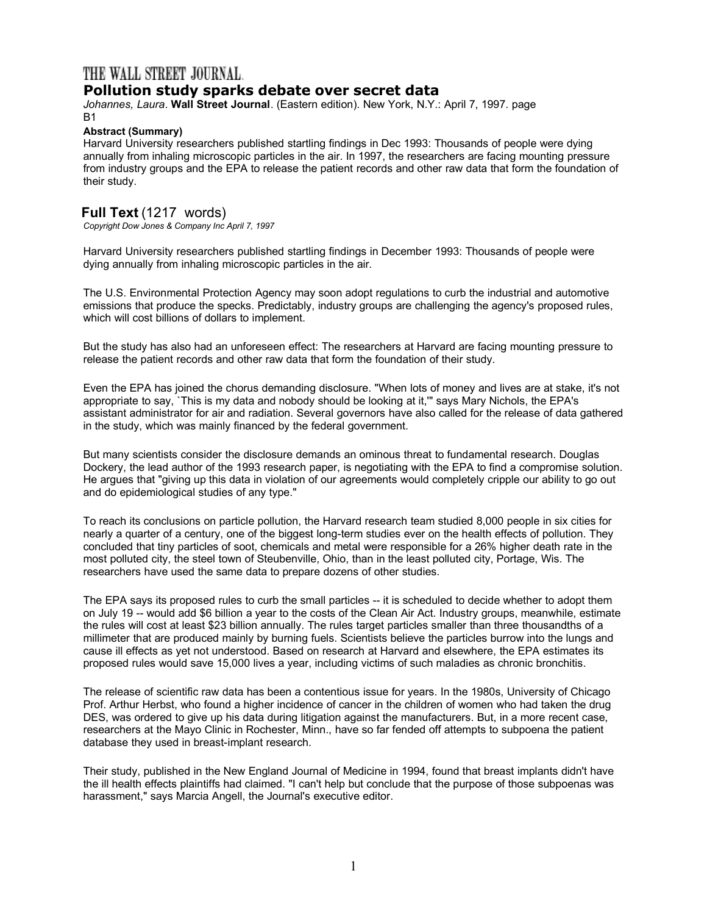## THE WALL STREET JOURNAL.

## **Pollution study sparks debate over secret data**

*Johannes, Laura*. **Wall Street Journal**. (Eastern edition). New York, N.Y.: April 7, 1997. page B1

## **Abstract (Summary)**

Harvard University researchers published startling findings in Dec 1993: Thousands of people were dying annually from inhaling microscopic particles in the air. In 1997, the researchers are facing mounting pressure from industry groups and the EPA to release the patient records and other raw data that form the foundation of their study.

## **Full Text** (1217 words)

*Copyright Dow Jones & Company Inc April 7, 1997*

Harvard University researchers published startling findings in December 1993: Thousands of people were dying annually from inhaling microscopic particles in the air.

The U.S. Environmental Protection Agency may soon adopt regulations to curb the industrial and automotive emissions that produce the specks. Predictably, industry groups are challenging the agency's proposed rules, which will cost billions of dollars to implement.

But the study has also had an unforeseen effect: The researchers at Harvard are facing mounting pressure to release the patient records and other raw data that form the foundation of their study.

Even the EPA has joined the chorus demanding disclosure. "When lots of money and lives are at stake, it's not appropriate to say, `This is my data and nobody should be looking at it,'" says Mary Nichols, the EPA's assistant administrator for air and radiation. Several governors have also called for the release of data gathered in the study, which was mainly financed by the federal government.

But many scientists consider the disclosure demands an ominous threat to fundamental research. Douglas Dockery, the lead author of the 1993 research paper, is negotiating with the EPA to find a compromise solution. He argues that "giving up this data in violation of our agreements would completely cripple our ability to go out and do epidemiological studies of any type."

To reach its conclusions on particle pollution, the Harvard research team studied 8,000 people in six cities for nearly a quarter of a century, one of the biggest long-term studies ever on the health effects of pollution. They concluded that tiny particles of soot, chemicals and metal were responsible for a 26% higher death rate in the most polluted city, the steel town of Steubenville, Ohio, than in the least polluted city, Portage, Wis. The researchers have used the same data to prepare dozens of other studies.

The EPA says its proposed rules to curb the small particles -- it is scheduled to decide whether to adopt them on July 19 -- would add \$6 billion a year to the costs of the Clean Air Act. Industry groups, meanwhile, estimate the rules will cost at least \$23 billion annually. The rules target particles smaller than three thousandths of a millimeter that are produced mainly by burning fuels. Scientists believe the particles burrow into the lungs and cause ill effects as yet not understood. Based on research at Harvard and elsewhere, the EPA estimates its proposed rules would save 15,000 lives a year, including victims of such maladies as chronic bronchitis.

The release of scientific raw data has been a contentious issue for years. In the 1980s, University of Chicago Prof. Arthur Herbst, who found a higher incidence of cancer in the children of women who had taken the drug DES, was ordered to give up his data during litigation against the manufacturers. But, in a more recent case, researchers at the Mayo Clinic in Rochester, Minn., have so far fended off attempts to subpoena the patient database they used in breast-implant research.

Their study, published in the New England Journal of Medicine in 1994, found that breast implants didn't have the ill health effects plaintiffs had claimed. "I can't help but conclude that the purpose of those subpoenas was harassment," says Marcia Angell, the Journal's executive editor.